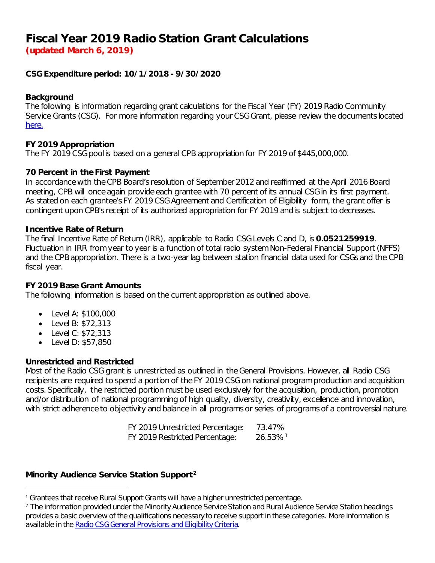# **Fiscal Year 2019 Radio Station Grant Calculations**

**(updated March 6, 2019)**

# **CSG Expenditure period: 10/1/2018 - 9/30/2020**

## **Background**

The following is information regarding grant calculations for the Fiscal Year (FY) 2019 Radio Community Service Grants (CSG). For more information regarding your CSG Grant, please review the documents located [here.](https://www.cpb.org/stations)

## **FY 2019 Appropriation**

The FY 2019 CSG pool is based on a general CPB appropriation for FY 2019 of \$445,000,000.

# **70 Percent in the First Payment**

In accordance with the CPB Board's resolution of September 2012 and reaffirmed at the April 2016 Board meeting, CPB will once again provide each grantee with 70 percent of its annual CSG in its first payment. As stated on each grantee's FY 2019 CSG Agreement and Certification of Eligibility form, the grant offer is contingent upon CPB's receipt of its authorized appropriation for FY 2019 and is subject to decreases.

## **Incentive Rate of Return**

The final Incentive Rate of Return (IRR), applicable to Radio CSG Levels C and D, is **0.0521259919**. Fluctuation in IRR from year to year is a function of total radio system Non-Federal Financial Support (NFFS) and the CPB appropriation. There is a two-year lag between station financial data used for CSGs and the CPB fiscal year.

#### **FY 2019 Base Grant Amounts**

The following information is based on the current appropriation as outlined above.

- Level A: \$100,000
- Level B: \$72,313
- Level C: \$72,313
- Level D: \$57,850

# **Unrestricted and Restricted**

Most of the Radio CSG grant is unrestricted as outlined in the General Provisions. However, all Radio CSG recipients are required to spend a portion of the FY 2019 CSG on national program production and acquisition costs. Specifically, the restricted portion must be used exclusively for the acquisition, production, promotion and/or distribution of national programming of high quality, diversity, creativity, excellence and innovation, with strict adherence to objectivity and balance in all programs or series of programs of a controversial nature.

> FY 2019 Unrestricted Percentage: 73.47% FY 2019 Restricted Percentage: 26.53%[1](#page-0-0)

# **Minority Audience Service Station Support[2](#page-0-1)**

<span id="page-0-0"></span> <sup>1</sup> Grantees that receive Rural Support Grants will have a higher unrestricted percentage.

<span id="page-0-1"></span><sup>&</sup>lt;sup>2</sup> The information provided under the Minority Audience Service Station and Rural Audience Service Station headings provides a basic overview of the qualifications necessary to receive support in these categories. More information is available in the [Radio CSG General Provisions and Eligibility Criteria](https://www.cpb.org/stations/grants/radio/generalprovisions/).